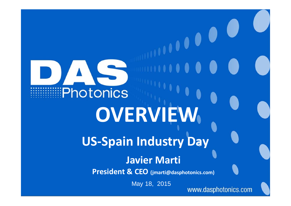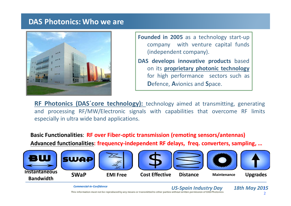#### **DAS Photonics: Who we are**



- **Founded in 2005** as <sup>a</sup> technology start‐up company with venture capital funds (independent company).
- **DAS develops innovative products** based on its **proprietary photonic technology** for high performance sectors such as **D**efence, **A**vionics and **S**pace.

**RF** Photonics (DAS' core **technology**): technology aimed at transmitting, generating and processing RF/MW/Electronic signals with capabilities that overcome RF limits especially in ultra wide band applications.

**Basic Functionalities**: **RF over Fiber‐optic transmission (remoting sensors/antennas) Advanced functionalities: frequency‐independent RF delays, freq. converters, sampling, …**



*US‐Spain Industry Day 18th May <sup>2015</sup> Commercial‐in‐Confidence* This information must not be reproduced by any means or transmitted to other parties without written permission of DAS Photonics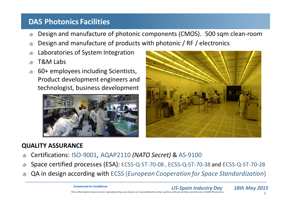## **DAS Photonics Facilities**

- Design and manufacture of photonic components (CMOS). 500 sqm clean‐room  $\bullet$
- Design and manufacture of products with photonic / RF / electronics
- Laboratories of System Integration
- T&M Labs
- 60+ employees including Scientists,  $\bullet$ Product development engineers and technologist, business development





## **QUALITY ASSURANCE**

- Certifications: ISO‐9001, AQAP2110 *(NATO Secret)* & AS‐9100
- Space certified processes (ESA): ECSS‐Q‐ST‐70‐<sup>08</sup> , ECSS‐Q‐ST‐70‐<sup>38</sup> and ECSS‐Q‐ST‐70‐<sup>28</sup>
- QA in design according with ECSS (*European Cooperation for Space Standardization*)

*US‐Spain Industry Day 18th May <sup>2015</sup> Commercial‐in‐Confidence* This information must not be reproduced by any means or transmitted to other parties without written permission of DAS Photonics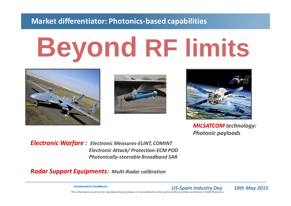## **Market differentiator: Photonics‐based capabilities**

# **Beyond RF limits**







*MILSATCOM technology: Photonic payloads*

*Electronic Warfare : Electronic Measures‐ELINT, COMINT Electronic Attack/ Protection‐ECM POD Photonically‐steerable Broadband SAR*

*Radar Support Equipments: Multi‐Radar calibration*

*US‐Spain Industry Day 18th May <sup>2015</sup> Commercial‐in‐Confidence* This information must not be reproduced by any means or transmitted to other parties without written permission of DAS Photonics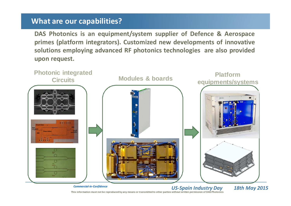## **What are our capabilities?**

**DAS Photonics is an equipment/system supplier of Defence & Aerospace primes (platform integrators). Customized new developments of innovative solutions employing advanced RF photonics technologies are also provided upon request.**



This information must not be reproduced by any means or transmitted to other parties without written permission of DAS Photonics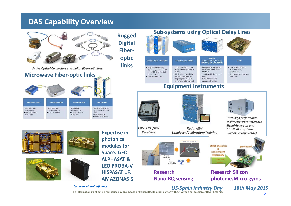#### **DAS Capability Overview**



#### **Microwave Fiber‐optic links**









**Expertise in photonics modules for Space: GEO ALPHASAT &LEO PROBA‐V HISPASAT 1F, AMAZONAS 5**



#### *US‐Spain Industry Day 18th May <sup>2015</sup> Commercial‐in‐Confidence*

This information must not be reproduced by any means or transmitted to other parties without written permission of DAS Photonics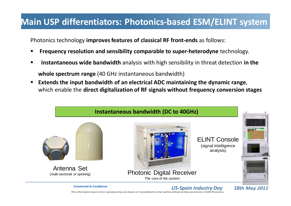# **Main USP differentiators: Photonics‐based ESM/ELINT system**

Photonics technology **improves features of classical RF front‐ends** as follows:

- **Frequency resolution and sensibility comparable to super‐heterodyne** technology.
- $\blacksquare$ **Instantaneous wide bandwidth** analysis with high sensibility in threat detection in the **whole spectrum range** (40 GHz instantaneous bandwidth)
- **Extends the input bandwidth of an electrical ADC maintaining the dynamic range**, which enable the **direct digitalization of RF signals without frequency conversion stages**



This information must not be reproduced by any means or transmitted to other parties without written permission of DAS Photonics